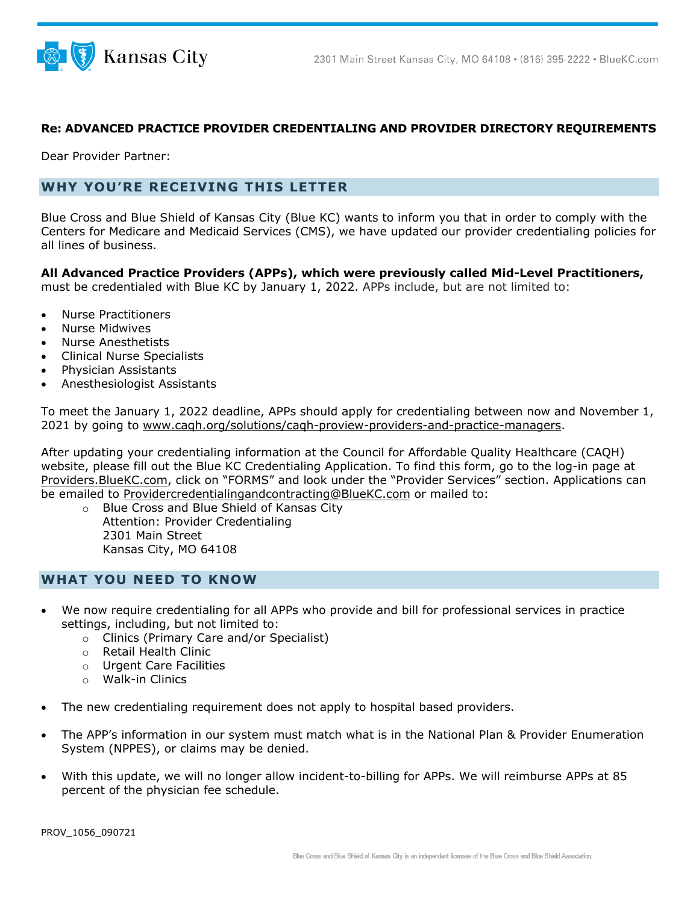



## **Re: ADVANCED PRACTICE PROVIDER CREDENTIALING AND PROVIDER DIRECTORY REQUIREMENTS**

Dear Provider Partner:

## **WHY YOU'RE RECEIVING THIS LETTER**

Blue Cross and Blue Shield of Kansas City (Blue KC) wants to inform you that in order to comply with the Centers for Medicare and Medicaid Services (CMS), we have updated our provider credentialing policies for all lines of business.

**All Advanced Practice Providers (APPs), which were previously called Mid-Level Practitioners,** must be credentialed with Blue KC by January 1, 2022. APPs include, but are not limited to:

- Nurse Practitioners
- Nurse Midwives
- Nurse Anesthetists
- Clinical Nurse Specialists
- Physician Assistants
- Anesthesiologist Assistants

To meet the January 1, 2022 deadline, APPs should apply for credentialing between now and November 1, 2021 by going to [www.caqh.org/solutions/caqh-proview-providers-and-practice-managers.](http://www.caqh.org/solutions/caqh-proview-providers-and-practice-managers)

After updating your credentialing information at the Council for Affordable Quality Healthcare (CAQH) website, please fill out the Blue KC Credentialing Application. To find this form, go to the log-in page at [Providers.BlueKC.com,](https://providers.bluekc.com/) click on "FORMS" and look under the "Provider Services" section. Applications can be emailed to [Providercredentialingandcontracting@BlueKC.com](mailto:Providercredentialingandcontracting@BlueKC.com) or mailed to:

o Blue Cross and Blue Shield of Kansas City Attention: Provider Credentialing 2301 Main Street Kansas City, MO 64108

## **WHAT YOU NEED TO KNOW**

- We now require credentialing for all APPs who provide and bill for professional services in practice settings, including, but not limited to:
	- o Clinics (Primary Care and/or Specialist)
	- o Retail Health Clinic
	- o Urgent Care Facilities
	- o Walk-in Clinics
- The new credentialing requirement does not apply to hospital based providers.
- The APP's information in our system must match what is in the National Plan & Provider Enumeration System (NPPES), or claims may be denied.
- With this update, we will no longer allow incident-to-billing for APPs. We will reimburse APPs at 85 percent of the physician fee schedule.